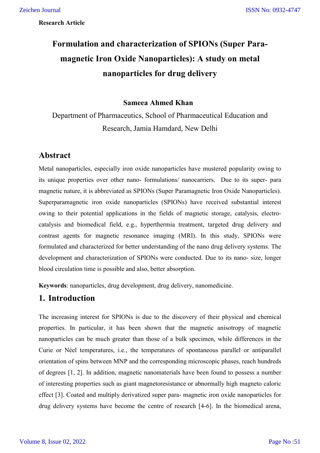# **Formulation and characterization of SPIONs (Super Paramagnetic Iron Oxide Nanoparticles): A study on metal nanoparticles for drug delivery**

### **Sameea Ahmed Khan**

Department of Pharmaceutics, School of Pharmaceutical Education and Research, Jamia Hamdard, New Delhi

# **Abstract**

Metal nanoparticles, especially iron oxide nanoparticles have mustered popularity owing to its unique properties over other nano- formulations/ nanocarriers. Due to its super- para magnetic nature, it is abbreviated as SPIONs (Super Paramagnetic Iron Oxide Nanoparticles). Superparamagnetic iron oxide nanoparticles (SPIONs) have received substantial interest owing to their potential applications in the fields of magnetic storage, catalysis, electrocatalysis and biomedical field, e.g., hyperthermia treatment, targeted drug delivery and contrast agents for magnetic resonance imaging (MRI). In this study, SPIONs were formulated and characterized for better understanding of the nano drug delivery systems. The development and characterization of SPIONs were conducted. Due to its nano- size, longer blood circulation time is possible and also, better absorption.

**Keywords**: nanoparticles, drug development, drug delivery, nanomedicine.

# **1. Introduction**

The increasing interest for SPIONs is due to the discovery of their physical and chemical properties. In particular, it has been shown that the magnetic anisotropy of magnetic nanoparticles can be much greater than those of a bulk specimen, while differences in the Curie or Néel temperatures, i.e., the temperatures of spontaneous parallel or antiparallel orientation of spins between MNP and the corresponding microscopic phases, reach hundreds of degrees [1, 2]. In addition, magnetic nanomaterials have been found to possess a number of interesting properties such as giant magnetoresistance or abnormally high magneto caloric effect [3]. Coated and multiply derivatized super para- magnetic iron oxide nanoparticles for drug delivery systems have become the centre of research [4-6]. In the biomedical arena,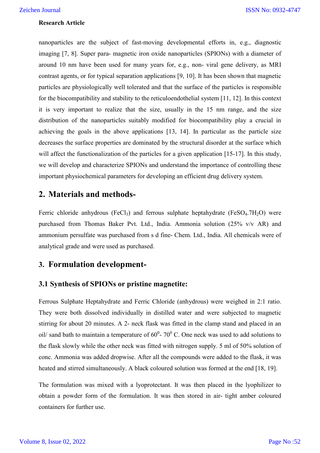nanoparticles are the subject of fast-moving developmental efforts in, e.g., diagnostic imaging [7, 8]. Super para- magnetic iron oxide nanoparticles (SPIONs) with a diameter of around 10 nm have been used for many years for, e.g., non- viral gene delivery, as MRI contrast agents, or for typical separation applications [9, 10]. It has been shown that magnetic particles are physiologically well tolerated and that the surface of the particles is responsible for the biocompatibility and stability to the reticuloendothelial system [11, 12]. In this context it is very important to realize that the size, usually in the 15 nm range, and the size distribution of the nanoparticles suitably modified for biocompatibility play a crucial in achieving the goals in the above applications [13, 14]. In particular as the particle size decreases the surface properties are dominated by the structural disorder at the surface which will affect the functionalization of the particles for a given application [15-17]. In this study, we will develop and characterize SPIONs and understand the importance of controlling these important physiochemical parameters for developing an efficient drug delivery system.

# **2. Materials and methods-**

Ferric chloride anhydrous (FeCl<sub>3</sub>) and ferrous sulphate heptahydrate (FeSO<sub>4</sub>.7H<sub>2</sub>O) were purchased from Thomas Baker Pvt. Ltd., India. Ammonia solution (25% v/v AR) and ammonium persulfate was purchased from s d fine- Chem. Ltd., India. All chemicals were of analytical grade and were used as purchased.

# **3. Formulation development-**

## **3.1 Synthesis of SPIONs or pristine magnetite:**

Ferrous Sulphate Heptahydrate and Ferric Chloride (anhydrous) were weighed in 2:1 ratio. They were both dissolved individually in distilled water and were subjected to magnetic stirring for about 20 minutes. A 2- neck flask was fitted in the clamp stand and placed in an oil/ sand bath to maintain a temperature of  $60^{\circ}$ -  $70^{\circ}$  C. One neck was used to add solutions to the flask slowly while the other neck was fitted with nitrogen supply. 5 ml of 50% solution of conc. Ammonia was added dropwise. After all the compounds were added to the flask, it was heated and stirred simultaneously. A black coloured solution was formed at the end [18, 19].

The formulation was mixed with a lyoprotectant. It was then placed in the lyophilizer to obtain a powder form of the formulation. It was then stored in air- tight amber coloured containers for further use.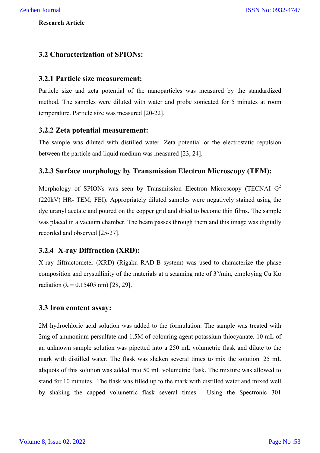# **3.2 Characterization of SPIONs:**

### **3.2.1 Particle size measurement:**

Particle size and zeta potential of the nanoparticles was measured by the standardized method. The samples were diluted with water and probe sonicated for 5 minutes at room temperature. Particle size was measured [20-22].

### **3.2.2 Zeta potential measurement:**

The sample was diluted with distilled water. Zeta potential or the electrostatic repulsion between the particle and liquid medium was measured [23, 24].

### **3.2.3 Surface morphology by Transmission Electron Microscopy (TEM):**

Morphology of SPIONs was seen by Transmission Electron Microscopy (TECNAI  $G<sup>2</sup>$ (220kV) HR- TEM; FEI). Appropriately diluted samples were negatively stained using the dye uranyl acetate and poured on the copper grid and dried to become thin films. The sample was placed in a vacuum chamber. The beam passes through them and this image was digitally recorded and observed [25-27].

### **3.2.4 X-ray Diffraction (XRD):**

X-ray diffractometer (XRD) (Rigaku RAD-B system) was used to characterize the phase composition and crystallinity of the materials at a scanning rate of  $3^{\circ}/\text{min}$ , employing Cu K $\alpha$ radiation ( $\lambda = 0.15405$  nm) [28, 29].

#### **3.3 Iron content assay:**

2M hydrochloric acid solution was added to the formulation. The sample was treated with 2mg of ammonium persulfate and 1.5M of colouring agent potassium thiocyanate. 10 mL of an unknown sample solution was pipetted into a 250 mL volumetric flask and dilute to the mark with distilled water. The flask was shaken several times to mix the solution. 25 mL aliquots of this solution was added into 50 mL volumetric flask. The mixture was allowed to stand for 10 minutes. The flask was filled up to the mark with distilled water and mixed well by shaking the capped volumetric flask several times. Using the Spectronic 301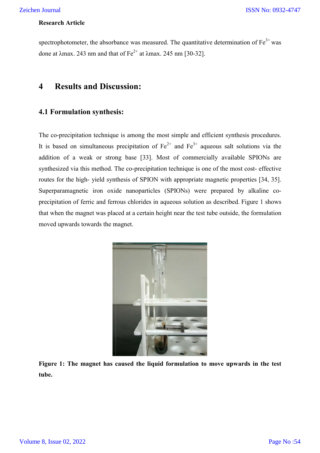spectrophotometer, the absorbance was measured. The quantitative determination of Fe done at  $\lambda$ max. 243 nm and that of Fe<sup>2+</sup> at  $\lambda$ max. 245 nm [30-32].

# **4 Results and Discussion:**

## **4.1 Formulation synthesis synthesis:**

The co-precipitation technique is among the most simple and efficient synthesis procedures. It is based on simultaneous precipitation of  $Fe^{2+}$  and  $Fe^{3+}$  aqueous salt solutions via the It is based on simultaneous precipitation of  $Fe^{2+}$  and  $Fe^{3+}$  aqueous salt solutions via the addition of a weak or strong base [33]. Most of commercially available SPIONs are synthesized via this method. The co-precipitation technique is one of the most cost- effective routes for the high- yield synthesis of SPION with appropriate magnetic properties [34, 35]. Superparamagnetic iron oxide nanoparticles (SPIONs) were prepared by alkaline coprecipitation of ferric and ferrous chlorides in aqueous solution as described. Figure 1 shows that when the magnet was placed at a certain height near the test tube outside, the formulation moved upwards towards the magnet. colometer, the absorbance was measured. The quantitative determination of Fe<sup>3+</sup> was max. 243 nm and that of Fe<sup>3+</sup> at knax. 245 nm [30-32].<br> **Example 10** and that of Fe<sup>3+</sup> at knax. 245 nm [30-32].<br> **Example 10 Example the test ISSN No: 0932-4747**<br> **the test is a kinal SET Algorithmetric SET Algorithmetric SET Algorithmetric SET Algorithmetric and Tec<sup>3+</sup> and Tec<sup>3+</sup> approximate station of Fe<sup>3+</sup> and Tec<sup>3+</sup> approximate stations via the** 



**Figure 1: The magnet has caused the liquid formulation to move upwards in the test tube.**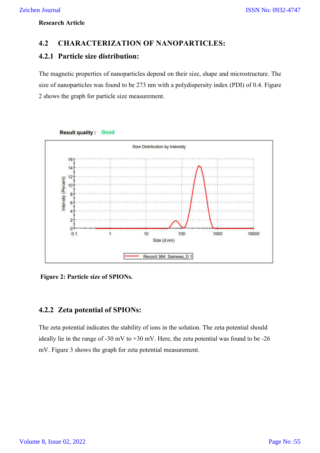# **4.2 CHARACTERIZATION OF NANOPARTICLES:**

# **4.2.1 Particle size distribution:**

The magnetic properties of nanoparticles depend on their size, shape and microstructure. The size of nanoparticles was found to be 273 nm with a polydispersity index (PDI) of 0.4. Figure 2 shows the graph for particle size measurement.



**Result quality: Good** 

**Figure 2: Particle size of SPIONs.**

# **4.2.2 Zeta potential of SPIONs:**

The zeta potential indicates the stability of ions in the solution. The zeta potential should ideally lie in the range of -30 mV to +30 mV. Here, the zeta potential was found to be -26 mV. Figure 3 shows the graph for zeta potential measurement.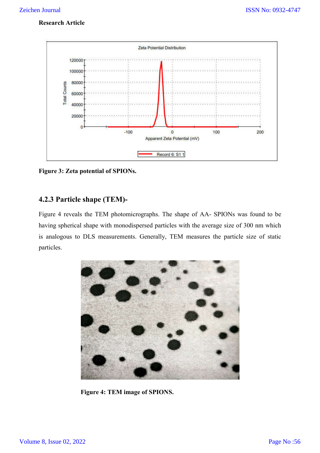

**Figure 3: Zeta potential of SPIONs.**

# **4.2.3 Particle shape (TEM)-**

Figure 4 reveals the TEM photomicrographs. The shape of AA- SPIONs was found to be having spherical shape with monodispersed particles with the average size of 300 nm which is analogous to DLS measurements. Generally, TEM measures the particle size of static particles.



**Figure 4: TEM image of SPIONS.**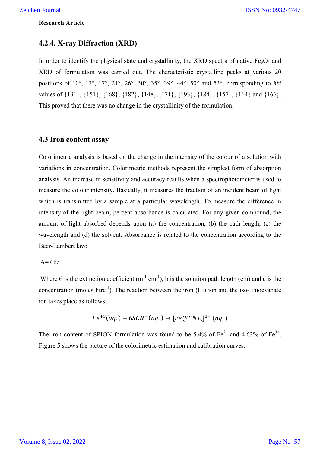### **4.2.4. X-ray Diffraction (XRD)**

In order to identify the physical state and crystallinity, the XRD spectra of native  $Fe<sub>3</sub>O<sub>4</sub>$  and XRD of formulation was carried out. The characteristic crystalline peaks at various 2θ positions of 10°, 13°, 17°, 21°, 26°, 30°, 35°, 39°, 44°, 50° and 53°, corresponding to *hkl* values of {131}, {151}, {168}, {182}, {148},{171}, {193}, {184}, {157}, {164} and {166}. This proved that there was no change in the crystallinity of the formulation.

# **4.3 Iron content assay-**

Colorimetric analysis is based on the change in the intensity of the colour of a solution with variations in concentration. Colorimetric methods represent the simplest form of absorption analysis. An increase in sensitivity and accuracy results when a spectrophotometer is used to measure the colour intensity. Basically, it measures the fraction of an incident beam of light which is transmitted by a sample at a particular wavelength. To measure the difference in intensity of the light beam, percent absorbance is calculated. For any given compound, the amount of light absorbed depends upon (a) the concentration, (b) the path length, (c) the wavelength and (d) the solvent. Absorbance is related to the concentration according to the Beer-Lambert law:

#### $A = \epsilon bc$

Where  $\epsilon$  is the extinction coefficient (m<sup>-1</sup> cm<sup>-1</sup>), b is the solution path length (cm) and c is the concentration (moles litre<sup>-1</sup>). The reaction between the iron (III) ion and the iso-thiocyanate ion takes place as follows:

$$
Fe^{+3}(aq.) + 6SCN^-(aq.) \rightarrow [Fe(SCN)_6]^{3-} (aq.)
$$

The iron content of SPION formulation was found to be 5.4% of  $Fe^{2+}$  and 4.63% of  $Fe^{3+}$ . Figure 5 shows the picture of the colorimetric estimation and calibration curves.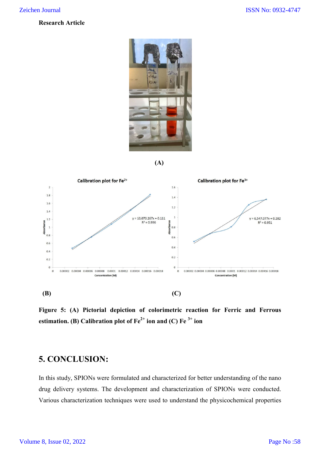

$$
(\mathbf{A})
$$



**Figure 5: (A) Pictorial depiction of colorimetric reaction for Ferric and Ferrous estimation. (B)** Calibration plot of  $Fe^{2+}$  **ion and (C)**  $Fe^{3+}$  **ion** 

# **5. CONCLUSION:**

In this study, SPIONs were formulated and characterized for better understanding of the nano drug delivery systems. The development and characterization of SPIONs were conducted. Various characterization techniques were used to understand the physicochemical properties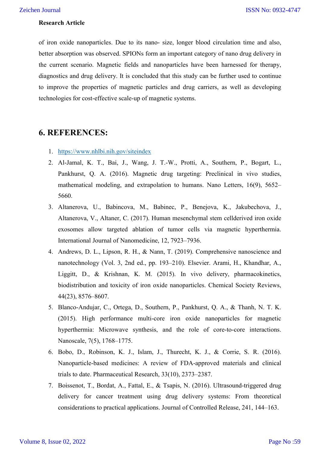of iron oxide nanoparticles. Due to its nano- size, longer blood circulation time and also, better absorption was observed. SPIONs form an important category of nano drug delivery in the current scenario. Magnetic fields and nanoparticles have been harnessed for therapy, diagnostics and drug delivery. It is concluded that this study can be further used to continue to improve the properties of magnetic particles and drug carriers, as well as developing technologies for cost-effective scale-up of magnetic systems.

# **6. REFERENCES:**

- 1. https://www.nhlbi.nih.gov/siteindex
- 2. Al-Jamal, K. T., Bai, J., Wang, J. T.-W., Protti, A., Southern, P., Bogart, L., Pankhurst, Q. A. (2016). Magnetic drug targeting: Preclinical in vivo studies, mathematical modeling, and extrapolation to humans. Nano Letters, 16(9), 5652– 5660.
- 3. Altanerova, U., Babincova, M., Babinec, P., Benejova, K., Jakubechova, J., Altanerova, V., Altaner, C. (2017). Human mesenchymal stem cellderived iron oxide exosomes allow targeted ablation of tumor cells via magnetic hyperthermia. International Journal of Nanomedicine, 12, 7923–7936.
- 4. Andrews, D. L., Lipson, R. H., & Nann, T. (2019). Comprehensive nanoscience and nanotechnology (Vol. 3, 2nd ed., pp. 193–210). Elsevier. Arami, H., Khandhar, A., Liggitt, D., & Krishnan, K. M. (2015). In vivo delivery, pharmacokinetics, biodistribution and toxicity of iron oxide nanoparticles. Chemical Society Reviews, 44(23), 8576–8607.
- 5. Blanco-Andujar, C., Ortega, D., Southern, P., Pankhurst, Q. A., & Thanh, N. T. K. (2015). High performance multi-core iron oxide nanoparticles for magnetic hyperthermia: Microwave synthesis, and the role of core-to-core interactions. Nanoscale, 7(5), 1768–1775.
- 6. Bobo, D., Robinson, K. J., Islam, J., Thurecht, K. J., & Corrie, S. R. (2016). Nanoparticle-based medicines: A review of FDA-approved materials and clinical trials to date. Pharmaceutical Research, 33(10), 2373–2387.
- 7. Boissenot, T., Bordat, A., Fattal, E., & Tsapis, N. (2016). Ultrasound-triggered drug delivery for cancer treatment using drug delivery systems: From theoretical considerations to practical applications. Journal of Controlled Release, 241, 144–163.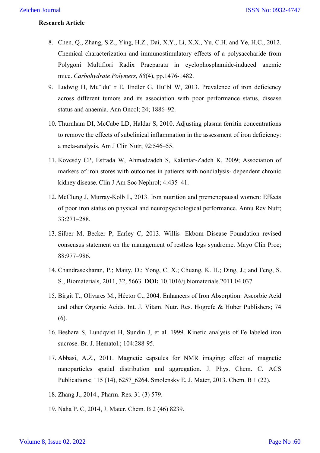- 8. Chen, Q., Zhang, S.Z., Ying, H.Z., Dai, X.Y., Li, X.X., Yu, C.H. and Ye, H.C., 2012. Chemical characterization and immunostimulatory effects of a polysaccharide from Polygoni Multiflori Radix Praeparata in cyclophosphamide-induced anemic mice. *Carbohydrate Polymers*, *88*(4), pp.1476-1482.
- 9. Ludwig H, Mu¨ldu¨ r E, Endler G, Hu¨bl W, 2013. Prevalence of iron deficiency across different tumors and its association with poor performance status, disease status and anaemia. Ann Oncol; 24; 1886–92.
- 10. Thurnham DI, McCabe LD, Haldar S, 2010. Adjusting plasma ferritin concentrations to remove the effects of subclinical inflammation in the assessment of iron deficiency: a meta-analysis. Am J Clin Nutr; 92:546–55.
- 11. Kovesdy CP, Estrada W, Ahmadzadeh S, Kalantar-Zadeh K, 2009; Association of markers of iron stores with outcomes in patients with nondialysis- dependent chronic kidney disease. Clin J Am Soc Nephrol; 4:435–41.
- 12. McClung J, Murray-Kolb L, 2013. Iron nutrition and premenopausal women: Effects of poor iron status on physical and neuropsychological performance. Annu Rev Nutr; 33:271–288.
- 13. Silber M, Becker P, Earley C, 2013. Willis- Ekbom Disease Foundation revised consensus statement on the management of restless legs syndrome. Mayo Clin Proc; 88:977–986.
- 14. Chandrasekharan, P.; Maity, D.; Yong, C. X.; Chuang, K. H.; Ding, J.; and Feng, S. S., Biomaterials, 2011, 32, 5663. **DOI:** 10.1016/j.biomaterials.2011.04.037
- 15. Birgit T., Olivares M., Héctor C., 2004. Enhancers of Iron Absorption: Ascorbic Acid and other Organic Acids. Int. J. Vitam. Nutr. Res. Hogrefe & Huber Publishers; 74 (6).
- 16. Beshara S, Lundqvist H, Sundin J, et al. 1999. Kinetic analysis of Fe labeled iron sucrose. Br. J. Hematol.; 104:288-95.
- 17. Abbasi, A.Z., 2011. Magnetic capsules for NMR imaging: effect of magnetic nanoparticles spatial distribution and aggregation. J. Phys. Chem. C. ACS Publications; 115 (14), 6257\_6264. Smolensky E, J. Mater, 2013. Chem. B 1 (22).
- 18. Zhang J., 2014., Pharm. Res. 31 (3) 579.
- 19. Naha P. C, 2014, J. Mater. Chem. B 2 (46) 8239.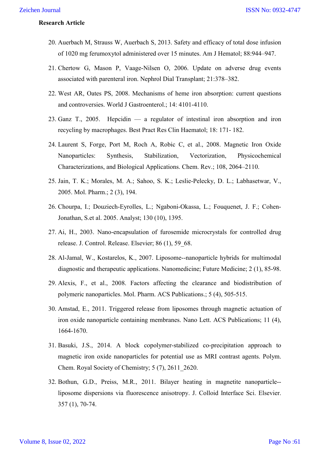- 20. Auerbach M, Strauss W, Auerbach S, 2013. Safety and efficacy of total dose infusion of 1020 mg ferumoxytol administered over 15 minutes. Am J Hematol; 88:944–947.
- 21. Chertow G, Mason P, Vaage-Nilsen O, 2006. Update on adverse drug events associated with parenteral iron. Nephrol Dial Transplant; 21:378–382.
- 22. West AR, Oates PS, 2008. Mechanisms of heme iron absorption: current questions and controversies. World J Gastroenterol.; 14: 4101-4110.
- 23. Ganz T., 2005. Hepcidin a regulator of intestinal iron absorption and iron recycling by macrophages. Best Pract Res Clin Haematol; 18: 171- 182.
- 24. Laurent S, Forge, Port M, Roch A, Robic C, et al., 2008. Magnetic Iron Oxide Nanoparticles: Synthesis, Stabilization, Vectorization, Physicochemical Characterizations, and Biological Applications. Chem. Rev.; 108, 2064–2110.
- 25. Jain, T. K.; Morales, M. A.; Sahoo, S. K.; Leslie-Pelecky, D. L.; Labhasetwar, V., 2005. Mol. Pharm.; 2 (3), 194.
- 26. Chourpa, I.; Douziech-Eyrolles, L.; Ngaboni-Okassa, L.; Fouquenet, J. F.; Cohen-Jonathan, S.et al. 2005. Analyst; 130 (10), 1395.
- 27. Ai, H., 2003. Nano-encapsulation of furosemide microcrystals for controlled drug release. J. Control. Release. Elsevier; 86 (1), 59\_68.
- 28. Al-Jamal, W., Kostarelos, K., 2007. Liposome--nanoparticle hybrids for multimodal diagnostic and therapeutic applications. Nanomedicine; Future Medicine; 2 (1), 85-98.
- 29. Alexis, F., et al., 2008. Factors affecting the clearance and biodistribution of polymeric nanoparticles. Mol. Pharm. ACS Publications.; 5 (4), 505-515.
- 30. Amstad, E., 2011. Triggered release from liposomes through magnetic actuation of iron oxide nanoparticle containing membranes. Nano Lett. ACS Publications; 11 (4), 1664-1670.
- 31. Basuki, J.S., 2014. A block copolymer-stabilized co-precipitation approach to magnetic iron oxide nanoparticles for potential use as MRI contrast agents. Polym. Chem. Royal Society of Chemistry; 5 (7), 2611\_2620.
- 32. Bothun, G.D., Preiss, M.R., 2011. Bilayer heating in magnetite nanoparticle- liposome dispersions via fluorescence anisotropy. J. Colloid Interface Sci. Elsevier. 357 (1), 70-74.